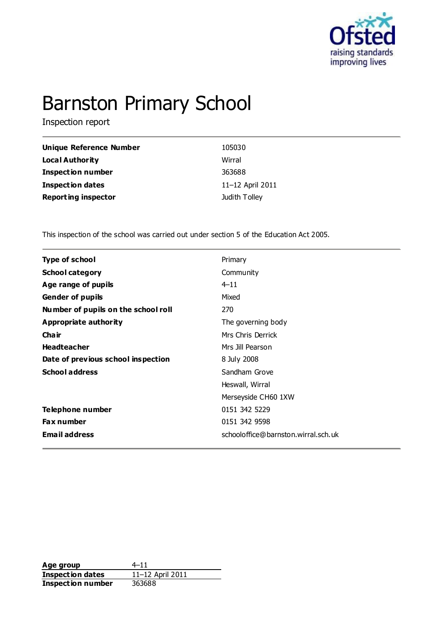

# Barnston Primary School

Inspection report

| Unique Reference Number    | 105030           |
|----------------------------|------------------|
| Local Authority            | Wirral           |
| <b>Inspection number</b>   | 363688           |
| Inspection dates           | 11-12 April 2011 |
| <b>Reporting inspector</b> | Judith Tolley    |

This inspection of the school was carried out under section 5 of the Education Act 2005.

| <b>Type of school</b>               | Primary                             |
|-------------------------------------|-------------------------------------|
| <b>School category</b>              | Community                           |
| Age range of pupils                 | $4 - 11$                            |
| <b>Gender of pupils</b>             | Mixed                               |
| Number of pupils on the school roll | 270                                 |
| Appropriate authority               | The governing body                  |
| Cha ir                              | Mrs Chris Derrick                   |
| <b>Headteacher</b>                  | Mrs Jill Pearson                    |
| Date of previous school inspection  | 8 July 2008                         |
| <b>School address</b>               | Sandham Grove                       |
|                                     | Heswall, Wirral                     |
|                                     | Merseyside CH60 1XW                 |
| Telephone number                    | 0151 342 5229                       |
| <b>Fax number</b>                   | 0151 342 9598                       |
| <b>Email address</b>                | schooloffice@barnston.wirral.sch.uk |
|                                     |                                     |

**Age group**  $4-11$ <br> **Inspection dates**  $11-12$  April 2011 **Inspection dates Inspection number** 363688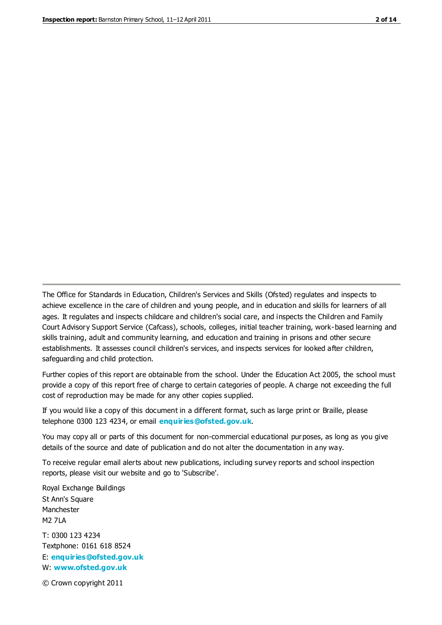The Office for Standards in Education, Children's Services and Skills (Ofsted) regulates and inspects to achieve excellence in the care of children and young people, and in education and skills for learners of all ages. It regulates and inspects childcare and children's social care, and inspects the Children and Family Court Advisory Support Service (Cafcass), schools, colleges, initial teacher training, work-based learning and skills training, adult and community learning, and education and training in prisons and other secure establishments. It assesses council children's services, and inspects services for looked after children, safeguarding and child protection.

Further copies of this report are obtainable from the school. Under the Education Act 2005, the school must provide a copy of this report free of charge to certain categories of people. A charge not exceeding the full cost of reproduction may be made for any other copies supplied.

If you would like a copy of this document in a different format, such as large print or Braille, please telephone 0300 123 4234, or email **[enquiries@ofsted.gov.uk](mailto:enquiries@ofsted.gov.uk)**.

You may copy all or parts of this document for non-commercial educational purposes, as long as you give details of the source and date of publication and do not alter the documentation in any way.

To receive regular email alerts about new publications, including survey reports and school inspection reports, please visit our website and go to 'Subscribe'.

Royal Exchange Buildings St Ann's Square Manchester M2 7LA T: 0300 123 4234 Textphone: 0161 618 8524 E: **[enquiries@ofsted.gov.uk](mailto:enquiries@ofsted.gov.uk)**

W: **[www.ofsted.gov.uk](http://www.ofsted.gov.uk/)**

© Crown copyright 2011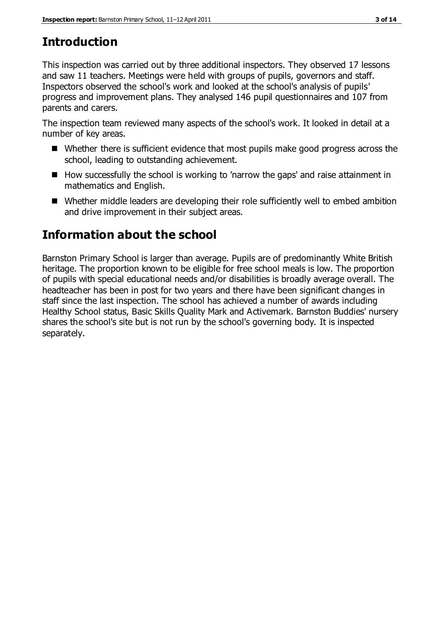# **Introduction**

This inspection was carried out by three additional inspectors. They observed 17 lessons and saw 11 teachers. Meetings were held with groups of pupils, governors and staff. Inspectors observed the school's work and looked at the school's analysis of pupils' progress and improvement plans. They analysed 146 pupil questionnaires and 107 from parents and carers.

The inspection team reviewed many aspects of the school's work. It looked in detail at a number of key areas.

- Whether there is sufficient evidence that most pupils make good progress across the school, leading to outstanding achievement.
- $\blacksquare$  How successfully the school is working to 'narrow the gaps' and raise attainment in mathematics and English.
- Whether middle leaders are developing their role sufficiently well to embed ambition and drive improvement in their subject areas.

# **Information about the school**

Barnston Primary School is larger than average. Pupils are of predominantly White British heritage. The proportion known to be eligible for free school meals is low. The proportion of pupils with special educational needs and/or disabilities is broadly average overall. The headteacher has been in post for two years and there have been significant changes in staff since the last inspection. The school has achieved a number of awards including Healthy School status, Basic Skills Quality Mark and Activemark. Barnston Buddies' nursery shares the school's site but is not run by the school's governing body. It is inspected separately.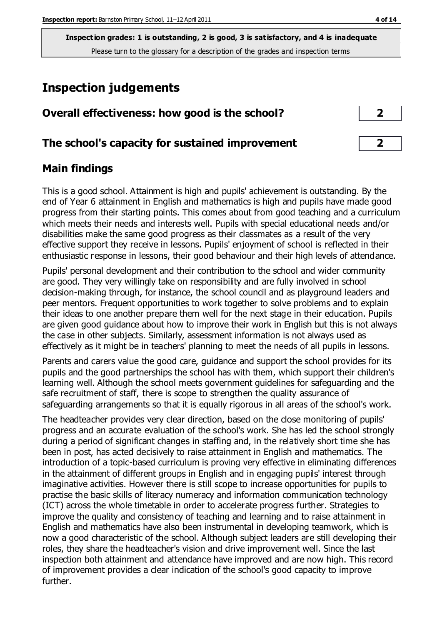# **Inspection judgements**

| Overall effectiveness: how good is the school?  |  |
|-------------------------------------------------|--|
| The school's capacity for sustained improvement |  |

## **Main findings**

This is a good school. Attainment is high and pupils' achievement is outstanding. By the end of Year 6 attainment in English and mathematics is high and pupils have made good progress from their starting points. This comes about from good teaching and a curriculum which meets their needs and interests well. Pupils with special educational needs and/or disabilities make the same good progress as their classmates as a result of the very effective support they receive in lessons. Pupils' enjoyment of school is reflected in their enthusiastic response in lessons, their good behaviour and their high levels of attendance.

Pupils' personal development and their contribution to the school and wider community are good. They very willingly take on responsibility and are fully involved in school decision-making through, for instance, the school council and as playground leaders and peer mentors. Frequent opportunities to work together to solve problems and to explain their ideas to one another prepare them well for the next stage in their education. Pupils are given good guidance about how to improve their work in English but this is not always the case in other subjects. Similarly, assessment information is not always used as effectively as it might be in teachers' planning to meet the needs of all pupils in lessons.

Parents and carers value the good care, guidance and support the school provides for its pupils and the good partnerships the school has with them, which support their children's learning well. Although the school meets government guidelines for safeguarding and the safe recruitment of staff, there is scope to strengthen the quality assurance of safeguarding arrangements so that it is equally rigorous in all areas of the school's work.

The headteacher provides very clear direction, based on the close monitoring of pupils' progress and an accurate evaluation of the school's work. She has led the school strongly during a period of significant changes in staffing and, in the relatively short time she has been in post, has acted decisively to raise attainment in English and mathematics. The introduction of a topic-based curriculum is proving very effective in eliminating differences in the attainment of different groups in English and in engaging pupils' interest through imaginative activities. However there is still scope to increase opportunities for pupils to practise the basic skills of literacy numeracy and information communication technology (ICT) across the whole timetable in order to accelerate progress further. Strategies to improve the quality and consistency of teaching and learning and to raise attainment in English and mathematics have also been instrumental in developing teamwork, which is now a good characteristic of the school. Although subject leaders are still developing their roles, they share the headteacher's vision and drive improvement well. Since the last inspection both attainment and attendance have improved and are now high. This record of improvement provides a clear indication of the school's good capacity to improve further.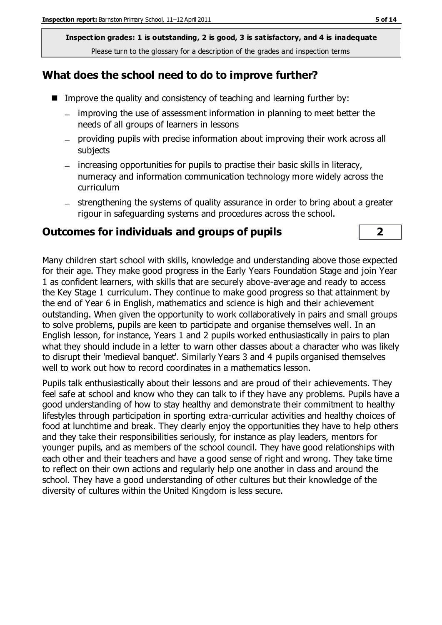## **What does the school need to do to improve further?**

- Improve the quality and consistency of teaching and learning further by:
	- improving the use of assessment information in planning to meet better the  $\equiv$ needs of all groups of learners in lessons
	- providing pupils with precise information about improving their work across all subjects
	- increasing opportunities for pupils to practise their basic skills in literacy, numeracy and information communication technology more widely across the curriculum
	- strengthening the systems of quality assurance in order to bring about a greater rigour in safeguarding systems and procedures across the school.

#### **Outcomes for individuals and groups of pupils 2**

Many children start school with skills, knowledge and understanding above those expected for their age. They make good progress in the Early Years Foundation Stage and join Year 1 as confident learners, with skills that are securely above-average and ready to access the Key Stage 1 curriculum. They continue to make good progress so that attainment by the end of Year 6 in English, mathematics and science is high and their achievement outstanding. When given the opportunity to work collaboratively in pairs and small groups to solve problems, pupils are keen to participate and organise themselves well. In an English lesson, for instance, Years 1 and 2 pupils worked enthusiastically in pairs to plan what they should include in a letter to warn other classes about a character who was likely to disrupt their 'medieval banquet'. Similarly Years 3 and 4 pupils organised themselves well to work out how to record coordinates in a mathematics lesson.

Pupils talk enthusiastically about their lessons and are proud of their achievements. They feel safe at school and know who they can talk to if they have any problems. Pupils have a good understanding of how to stay healthy and demonstrate their commitment to healthy lifestyles through participation in sporting extra-curricular activities and healthy choices of food at lunchtime and break. They clearly enjoy the opportunities they have to help others and they take their responsibilities seriously, for instance as play leaders, mentors for younger pupils, and as members of the school council. They have good relationships with each other and their teachers and have a good sense of right and wrong. They take time to reflect on their own actions and regularly help one another in class and around the school. They have a good understanding of other cultures but their knowledge of the diversity of cultures within the United Kingdom is less secure.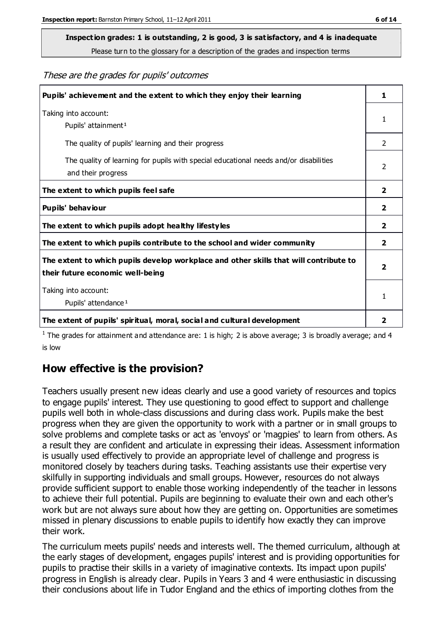# **Inspection grades: 1 is outstanding, 2 is good, 3 is satisfactory, and 4 is inadequate**

Please turn to the glossary for a description of the grades and inspection terms

These are the grades for pupils' outcomes

| Pupils' achievement and the extent to which they enjoy their learning                                                     | 1              |
|---------------------------------------------------------------------------------------------------------------------------|----------------|
| Taking into account:<br>Pupils' attainment <sup>1</sup>                                                                   | 1              |
| The quality of pupils' learning and their progress                                                                        | $\mathcal{P}$  |
| The quality of learning for pupils with special educational needs and/or disabilities<br>and their progress               | $\overline{2}$ |
| The extent to which pupils feel safe                                                                                      | $\mathbf{2}$   |
| Pupils' behaviour                                                                                                         | 2              |
| The extent to which pupils adopt healthy lifestyles                                                                       | 2              |
| The extent to which pupils contribute to the school and wider community                                                   | $\overline{2}$ |
| The extent to which pupils develop workplace and other skills that will contribute to<br>their future economic well-being |                |
| Taking into account:                                                                                                      |                |
| Pupils' attendance <sup>1</sup>                                                                                           | 1              |
| The extent of pupils' spiritual, moral, social and cultural development                                                   | 2              |

<sup>1</sup> The grades for attainment and attendance are: 1 is high; 2 is above average; 3 is broadly average; and 4 is low

## **How effective is the provision?**

Teachers usually present new ideas clearly and use a good variety of resources and topics to engage pupils' interest. They use questioning to good effect to support and challenge pupils well both in whole-class discussions and during class work. Pupils make the best progress when they are given the opportunity to work with a partner or in small groups to solve problems and complete tasks or act as 'envoys' or 'magpies' to learn from others. As a result they are confident and articulate in expressing their ideas. Assessment information is usually used effectively to provide an appropriate level of challenge and progress is monitored closely by teachers during tasks. Teaching assistants use their expertise very skilfully in supporting individuals and small groups. However, resources do not always provide sufficient support to enable those working independently of the teacher in lessons to achieve their full potential. Pupils are beginning to evaluate their own and each other's work but are not always sure about how they are getting on. Opportunities are sometimes missed in plenary discussions to enable pupils to identify how exactly they can improve their work.

The curriculum meets pupils' needs and interests well. The themed curriculum, although at the early stages of development, engages pupils' interest and is providing opportunities for pupils to practise their skills in a variety of imaginative contexts. Its impact upon pupils' progress in English is already clear. Pupils in Years 3 and 4 were enthusiastic in discussing their conclusions about life in Tudor England and the ethics of importing clothes from the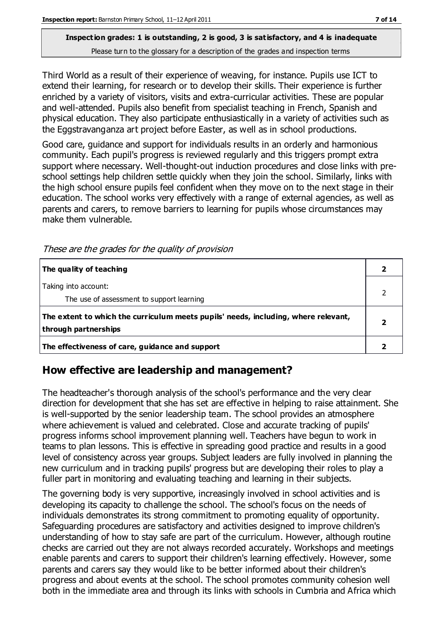Third World as a result of their experience of weaving, for instance. Pupils use ICT to extend their learning, for research or to develop their skills. Their experience is further enriched by a variety of visitors, visits and extra-curricular activities. These are popular and well-attended. Pupils also benefit from specialist teaching in French, Spanish and physical education. They also participate enthusiastically in a variety of activities such as the Eggstravanganza art project before Easter, as well as in school productions.

Good care, guidance and support for individuals results in an orderly and harmonious community. Each pupil's progress is reviewed regularly and this triggers prompt extra support where necessary. Well-thought-out induction procedures and close links with preschool settings help children settle quickly when they join the school. Similarly, links with the high school ensure pupils feel confident when they move on to the next stage in their education. The school works very effectively with a range of external agencies, as well as parents and carers, to remove barriers to learning for pupils whose circumstances may make them vulnerable.

| The quality of teaching                                                                                    |  |
|------------------------------------------------------------------------------------------------------------|--|
| Taking into account:<br>The use of assessment to support learning                                          |  |
| The extent to which the curriculum meets pupils' needs, including, where relevant,<br>through partnerships |  |
| The effectiveness of care, guidance and support                                                            |  |

These are the grades for the quality of provision

## **How effective are leadership and management?**

The headteacher's thorough analysis of the school's performance and the very clear direction for development that she has set are effective in helping to raise attainment. She is well-supported by the senior leadership team. The school provides an atmosphere where achievement is valued and celebrated. Close and accurate tracking of pupils' progress informs school improvement planning well. Teachers have begun to work in teams to plan lessons. This is effective in spreading good practice and results in a good level of consistency across year groups. Subject leaders are fully involved in planning the new curriculum and in tracking pupils' progress but are developing their roles to play a fuller part in monitoring and evaluating teaching and learning in their subjects.

The governing body is very supportive, increasingly involved in school activities and is developing its capacity to challenge the school. The school's focus on the needs of individuals demonstrates its strong commitment to promoting equality of opportunity. Safeguarding procedures are satisfactory and activities designed to improve children's understanding of how to stay safe are part of the curriculum. However, although routine checks are carried out they are not always recorded accurately. Workshops and meetings enable parents and carers to support their children's learning effectively. However, some parents and carers say they would like to be better informed about their children's progress and about events at the school. The school promotes community cohesion well both in the immediate area and through its links with schools in Cumbria and Africa which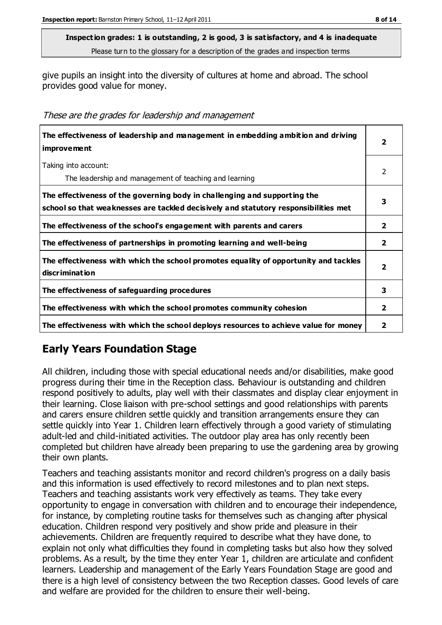give pupils an insight into the diversity of cultures at home and abroad. The school provides good value for money.

These are the grades for leadership and management

| The effectiveness of leadership and management in embedding ambition and driving<br><b>improvement</b>                                                           | 2              |
|------------------------------------------------------------------------------------------------------------------------------------------------------------------|----------------|
| Taking into account:<br>The leadership and management of teaching and learning                                                                                   | $\mathcal{P}$  |
| The effectiveness of the governing body in challenging and supporting the<br>school so that weaknesses are tackled decisively and statutory responsibilities met | 3              |
| The effectiveness of the school's engagement with parents and carers                                                                                             | $\overline{2}$ |
| The effectiveness of partnerships in promoting learning and well-being                                                                                           | $\overline{2}$ |
| The effectiveness with which the school promotes equality of opportunity and tackles<br>discrimination                                                           | 2              |
| The effectiveness of safeguarding procedures                                                                                                                     | 3              |
| The effectiveness with which the school promotes community cohesion                                                                                              | 2              |
| The effectiveness with which the school deploys resources to achieve value for money                                                                             | 2              |

## **Early Years Foundation Stage**

All children, including those with special educational needs and/or disabilities, make good progress during their time in the Reception class. Behaviour is outstanding and children respond positively to adults, play well with their classmates and display clear enjoyment in their learning. Close liaison with pre-school settings and good relationships with parents and carers ensure children settle quickly and transition arrangements ensure they can settle quickly into Year 1. Children learn effectively through a good variety of stimulating adult-led and child-initiated activities. The outdoor play area has only recently been completed but children have already been preparing to use the gardening area by growing their own plants.

Teachers and teaching assistants monitor and record children's progress on a daily basis and this information is used effectively to record milestones and to plan next steps. Teachers and teaching assistants work very effectively as teams. They take every opportunity to engage in conversation with children and to encourage their independence, for instance, by completing routine tasks for themselves such as changing after physical education. Children respond very positively and show pride and pleasure in their achievements. Children are frequently required to describe what they have done, to explain not only what difficulties they found in completing tasks but also how they solved problems. As a result, by the time they enter Year 1, children are articulate and confident learners. Leadership and management of the Early Years Foundation Stage are good and there is a high level of consistency between the two Reception classes. Good levels of care and welfare are provided for the children to ensure their well-being.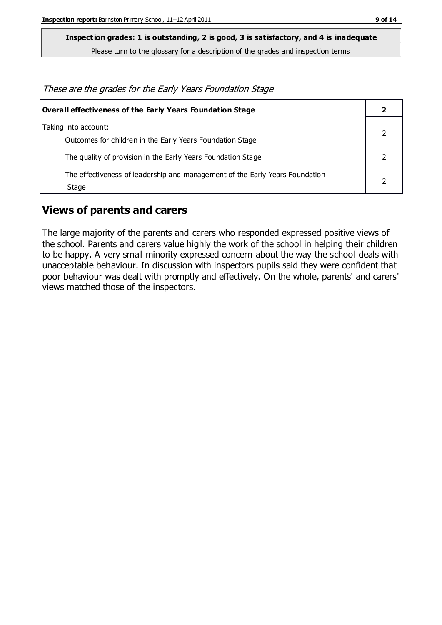**Inspection grades: 1 is outstanding, 2 is good, 3 is satisfactory, and 4 is inadequate**

Please turn to the glossary for a description of the grades and inspection terms

These are the grades for the Early Years Foundation Stage

| <b>Overall effectiveness of the Early Years Foundation Stage</b>                      |  |
|---------------------------------------------------------------------------------------|--|
| Taking into account:<br>Outcomes for children in the Early Years Foundation Stage     |  |
| The quality of provision in the Early Years Foundation Stage                          |  |
| The effectiveness of leadership and management of the Early Years Foundation<br>Stage |  |

#### **Views of parents and carers**

The large majority of the parents and carers who responded expressed positive views of the school. Parents and carers value highly the work of the school in helping their children to be happy. A very small minority expressed concern about the way the school deals with unacceptable behaviour. In discussion with inspectors pupils said they were confident that poor behaviour was dealt with promptly and effectively. On the whole, parents' and carers' views matched those of the inspectors.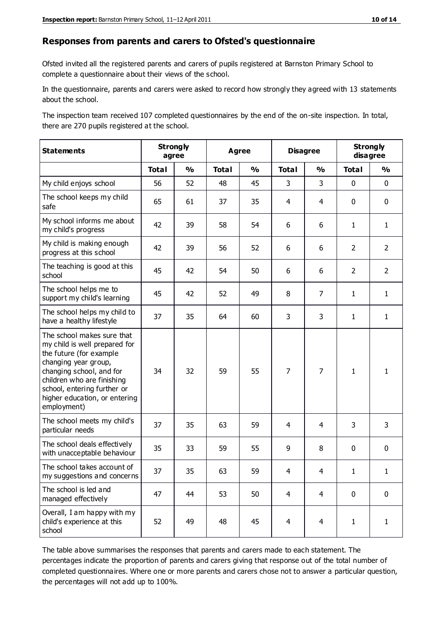#### **Responses from parents and carers to Ofsted's questionnaire**

Ofsted invited all the registered parents and carers of pupils registered at Barnston Primary School to complete a questionnaire about their views of the school.

In the questionnaire, parents and carers were asked to record how strongly they agreed with 13 statements about the school.

The inspection team received 107 completed questionnaires by the end of the on-site inspection. In total, there are 270 pupils registered at the school.

| <b>Statements</b>                                                                                                                                                                                                                                       | <b>Strongly</b><br>agree |               | <b>Agree</b> |               | <b>Disagree</b> |                | <b>Strongly</b><br>disagree |                |
|---------------------------------------------------------------------------------------------------------------------------------------------------------------------------------------------------------------------------------------------------------|--------------------------|---------------|--------------|---------------|-----------------|----------------|-----------------------------|----------------|
|                                                                                                                                                                                                                                                         | <b>Total</b>             | $\frac{1}{2}$ | <b>Total</b> | $\frac{1}{2}$ | <b>Total</b>    | $\frac{1}{2}$  | <b>Total</b>                | $\frac{1}{2}$  |
| My child enjoys school                                                                                                                                                                                                                                  | 56                       | 52            | 48           | 45            | 3               | 3              | $\mathbf 0$                 | $\mathbf 0$    |
| The school keeps my child<br>safe                                                                                                                                                                                                                       | 65                       | 61            | 37           | 35            | 4               | $\overline{4}$ | $\mathbf 0$                 | $\mathbf 0$    |
| My school informs me about<br>my child's progress                                                                                                                                                                                                       | 42                       | 39            | 58           | 54            | 6               | 6              | $\mathbf{1}$                | $\mathbf{1}$   |
| My child is making enough<br>progress at this school                                                                                                                                                                                                    | 42                       | 39            | 56           | 52            | 6               | 6              | $\overline{2}$              | $\overline{2}$ |
| The teaching is good at this<br>school                                                                                                                                                                                                                  | 45                       | 42            | 54           | 50            | 6               | 6              | $\overline{2}$              | $\overline{2}$ |
| The school helps me to<br>support my child's learning                                                                                                                                                                                                   | 45                       | 42            | 52           | 49            | 8               | $\overline{7}$ | $\mathbf{1}$                | $\mathbf{1}$   |
| The school helps my child to<br>have a healthy lifestyle                                                                                                                                                                                                | 37                       | 35            | 64           | 60            | 3               | 3              | $\mathbf{1}$                | $\mathbf{1}$   |
| The school makes sure that<br>my child is well prepared for<br>the future (for example<br>changing year group,<br>changing school, and for<br>children who are finishing<br>school, entering further or<br>higher education, or entering<br>employment) | 34                       | 32            | 59           | 55            | $\overline{7}$  | 7              | $\mathbf{1}$                | 1              |
| The school meets my child's<br>particular needs                                                                                                                                                                                                         | 37                       | 35            | 63           | 59            | 4               | 4              | 3                           | 3              |
| The school deals effectively<br>with unacceptable behaviour                                                                                                                                                                                             | 35                       | 33            | 59           | 55            | 9               | 8              | $\mathbf 0$                 | $\pmb{0}$      |
| The school takes account of<br>my suggestions and concerns                                                                                                                                                                                              | 37                       | 35            | 63           | 59            | 4               | 4              | 1                           | 1              |
| The school is led and<br>managed effectively                                                                                                                                                                                                            | 47                       | 44            | 53           | 50            | $\overline{4}$  | $\overline{4}$ | $\mathbf 0$                 | $\mathbf 0$    |
| Overall, I am happy with my<br>child's experience at this<br>school                                                                                                                                                                                     | 52                       | 49            | 48           | 45            | $\overline{4}$  | $\overline{4}$ | $\mathbf{1}$                | $\mathbf{1}$   |

The table above summarises the responses that parents and carers made to each statement. The percentages indicate the proportion of parents and carers giving that response out of the total number of completed questionnaires. Where one or more parents and carers chose not to answer a particular question, the percentages will not add up to 100%.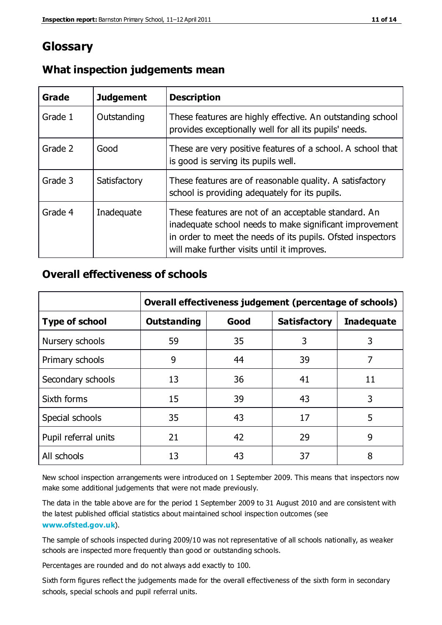## **Glossary**

| Grade   | <b>Judgement</b> | <b>Description</b>                                                                                                                                                                                                            |
|---------|------------------|-------------------------------------------------------------------------------------------------------------------------------------------------------------------------------------------------------------------------------|
| Grade 1 | Outstanding      | These features are highly effective. An outstanding school<br>provides exceptionally well for all its pupils' needs.                                                                                                          |
| Grade 2 | Good             | These are very positive features of a school. A school that<br>is good is serving its pupils well.                                                                                                                            |
| Grade 3 | Satisfactory     | These features are of reasonable quality. A satisfactory<br>school is providing adequately for its pupils.                                                                                                                    |
| Grade 4 | Inadequate       | These features are not of an acceptable standard. An<br>inadequate school needs to make significant improvement<br>in order to meet the needs of its pupils. Ofsted inspectors<br>will make further visits until it improves. |

#### **What inspection judgements mean**

## **Overall effectiveness of schools**

|                       | Overall effectiveness judgement (percentage of schools) |      |                     |                   |
|-----------------------|---------------------------------------------------------|------|---------------------|-------------------|
| <b>Type of school</b> | <b>Outstanding</b>                                      | Good | <b>Satisfactory</b> | <b>Inadequate</b> |
| Nursery schools       | 59                                                      | 35   | 3                   | 3                 |
| Primary schools       | 9                                                       | 44   | 39                  | 7                 |
| Secondary schools     | 13                                                      | 36   | 41                  | 11                |
| Sixth forms           | 15                                                      | 39   | 43                  | 3                 |
| Special schools       | 35                                                      | 43   | 17                  | 5                 |
| Pupil referral units  | 21                                                      | 42   | 29                  | 9                 |
| All schools           | 13                                                      | 43   | 37                  | 8                 |

New school inspection arrangements were introduced on 1 September 2009. This means that inspectors now make some additional judgements that were not made previously.

The data in the table above are for the period 1 September 2009 to 31 August 2010 and are consistent with the latest published official statistics about maintained school inspec tion outcomes (see **[www.ofsted.gov.uk](http://www.ofsted.gov.uk/)**).

The sample of schools inspected during 2009/10 was not representative of all schools nationally, as weaker schools are inspected more frequently than good or outstanding schools.

Percentages are rounded and do not always add exactly to 100.

Sixth form figures reflect the judgements made for the overall effectiveness of the sixth form in secondary schools, special schools and pupil referral units.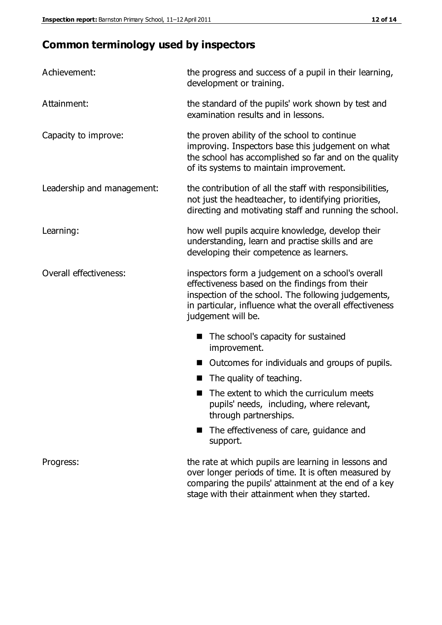# **Common terminology used by inspectors**

| Achievement:                  | the progress and success of a pupil in their learning,<br>development or training.                                                                                                                                                          |  |  |
|-------------------------------|---------------------------------------------------------------------------------------------------------------------------------------------------------------------------------------------------------------------------------------------|--|--|
| Attainment:                   | the standard of the pupils' work shown by test and<br>examination results and in lessons.                                                                                                                                                   |  |  |
| Capacity to improve:          | the proven ability of the school to continue<br>improving. Inspectors base this judgement on what<br>the school has accomplished so far and on the quality<br>of its systems to maintain improvement.                                       |  |  |
| Leadership and management:    | the contribution of all the staff with responsibilities,<br>not just the headteacher, to identifying priorities,<br>directing and motivating staff and running the school.                                                                  |  |  |
| Learning:                     | how well pupils acquire knowledge, develop their<br>understanding, learn and practise skills and are<br>developing their competence as learners.                                                                                            |  |  |
| <b>Overall effectiveness:</b> | inspectors form a judgement on a school's overall<br>effectiveness based on the findings from their<br>inspection of the school. The following judgements,<br>in particular, influence what the overall effectiveness<br>judgement will be. |  |  |
|                               | The school's capacity for sustained<br>improvement.                                                                                                                                                                                         |  |  |
|                               | Outcomes for individuals and groups of pupils.                                                                                                                                                                                              |  |  |
|                               | The quality of teaching.                                                                                                                                                                                                                    |  |  |
|                               | The extent to which the curriculum meets<br>pupils' needs, including, where relevant,<br>through partnerships.                                                                                                                              |  |  |
|                               | The effectiveness of care, guidance and<br>support.                                                                                                                                                                                         |  |  |
| Progress:                     | the rate at which pupils are learning in lessons and<br>over longer periods of time. It is often measured by<br>comparing the pupils' attainment at the end of a key                                                                        |  |  |

stage with their attainment when they started.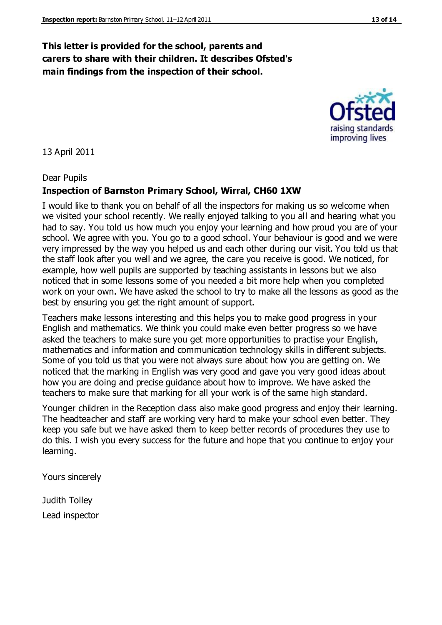### **This letter is provided for the school, parents and carers to share with their children. It describes Ofsted's main findings from the inspection of their school.**

13 April 2011

#### Dear Pupils

#### **Inspection of Barnston Primary School, Wirral, CH60 1XW**

I would like to thank you on behalf of all the inspectors for making us so welcome when we visited your school recently. We really enjoyed talking to you all and hearing what you had to say. You told us how much you enjoy your learning and how proud you are of your school. We agree with you. You go to a good school. Your behaviour is good and we were very impressed by the way you helped us and each other during our visit. You told us that the staff look after you well and we agree, the care you receive is good. We noticed, for example, how well pupils are supported by teaching assistants in lessons but we also noticed that in some lessons some of you needed a bit more help when you completed work on your own. We have asked the school to try to make all the lessons as good as the best by ensuring you get the right amount of support.

Teachers make lessons interesting and this helps you to make good progress in your English and mathematics. We think you could make even better progress so we have asked the teachers to make sure you get more opportunities to practise your English, mathematics and information and communication technology skills in different subjects. Some of you told us that you were not always sure about how you are getting on. We noticed that the marking in English was very good and gave you very good ideas about how you are doing and precise guidance about how to improve. We have asked the teachers to make sure that marking for all your work is of the same high standard.

Younger children in the Reception class also make good progress and enjoy their learning. The headteacher and staff are working very hard to make your school even better. They keep you safe but we have asked them to keep better records of procedures they use to do this. I wish you every success for the future and hope that you continue to enjoy your learning.

Yours sincerely

Judith Tolley Lead inspector